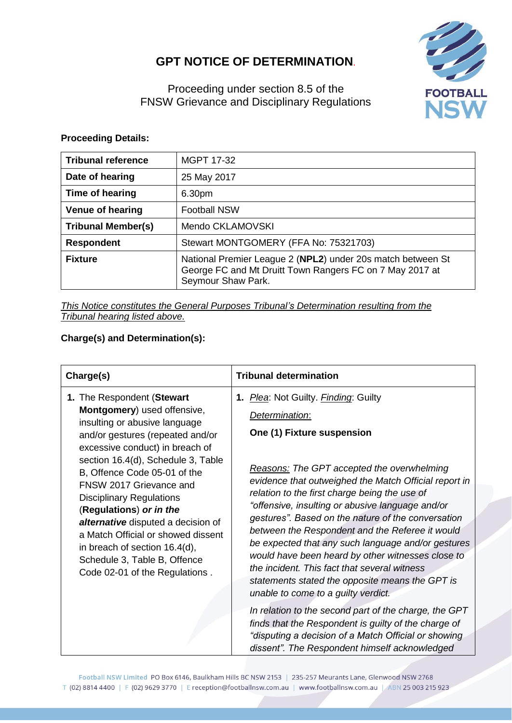# **GPT NOTICE OF DETERMINATION**.



Proceeding under section 8.5 of the FNSW Grievance and Disciplinary Regulations

## **Proceeding Details:**

| <b>Tribunal reference</b> | <b>MGPT 17-32</b>                                                                                                                             |
|---------------------------|-----------------------------------------------------------------------------------------------------------------------------------------------|
| Date of hearing           | 25 May 2017                                                                                                                                   |
| Time of hearing           | 6.30pm                                                                                                                                        |
| <b>Venue of hearing</b>   | <b>Football NSW</b>                                                                                                                           |
| <b>Tribunal Member(s)</b> | Mendo CKLAMOVSKI                                                                                                                              |
| <b>Respondent</b>         | Stewart MONTGOMERY (FFA No: 75321703)                                                                                                         |
| <b>Fixture</b>            | National Premier League 2 (NPL2) under 20s match between St<br>George FC and Mt Druitt Town Rangers FC on 7 May 2017 at<br>Seymour Shaw Park. |

*This Notice constitutes the General Purposes Tribunal's Determination resulting from the Tribunal hearing listed above.*

## **Charge(s) and Determination(s):**

| Charge(s)                                                                                                                                                                                                                                                                                                                                                                                                                                                                                                       | <b>Tribunal determination</b>                                                                                                                                                                                                                                                                                                                                                                                                                                                                                                                                                                                                                                         |
|-----------------------------------------------------------------------------------------------------------------------------------------------------------------------------------------------------------------------------------------------------------------------------------------------------------------------------------------------------------------------------------------------------------------------------------------------------------------------------------------------------------------|-----------------------------------------------------------------------------------------------------------------------------------------------------------------------------------------------------------------------------------------------------------------------------------------------------------------------------------------------------------------------------------------------------------------------------------------------------------------------------------------------------------------------------------------------------------------------------------------------------------------------------------------------------------------------|
| 1. The Respondent (Stewart<br>Montgomery) used offensive,<br>insulting or abusive language<br>and/or gestures (repeated and/or<br>excessive conduct) in breach of<br>section 16.4(d), Schedule 3, Table<br>B, Offence Code 05-01 of the<br>FNSW 2017 Grievance and<br><b>Disciplinary Regulations</b><br>(Regulations) or in the<br>alternative disputed a decision of<br>a Match Official or showed dissent<br>in breach of section 16.4(d),<br>Schedule 3, Table B, Offence<br>Code 02-01 of the Regulations. | 1. Plea: Not Guilty. Finding: Guilty<br>Determination:<br>One (1) Fixture suspension<br><b>Reasons: The GPT accepted the overwhelming</b><br>evidence that outweighed the Match Official report in<br>relation to the first charge being the use of<br>"offensive, insulting or abusive language and/or<br>gestures". Based on the nature of the conversation<br>between the Respondent and the Referee it would<br>be expected that any such language and/or gestures<br>would have been heard by other witnesses close to<br>the incident. This fact that several witness<br>statements stated the opposite means the GPT is<br>unable to come to a guilty verdict. |
|                                                                                                                                                                                                                                                                                                                                                                                                                                                                                                                 | In relation to the second part of the charge, the GPT<br>finds that the Respondent is guilty of the charge of<br>"disputing a decision of a Match Official or showing<br>dissent". The Respondent himself acknowledged                                                                                                                                                                                                                                                                                                                                                                                                                                                |